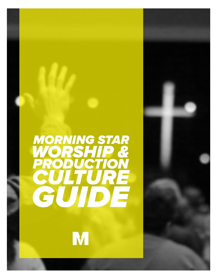

M

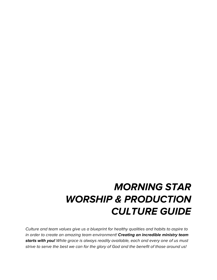## **MORNING STAR WORSHIP & PRODUCTION CULTURE GUIDE**

Culture and team values give us a blueprint for healthy qualities and habits to aspire to in order to create an amazing team environment! **Creating an incredible ministry team starts with you!** While grace is always readily available, each and every one of us must strive to serve the best we can for the glory of God and the benefit of those around us!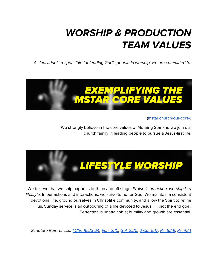# **WORSHIP & PRODUCTION TEAM VALUES**

As individuals responsible for leading God's people in worship, we are committed to:



([mstar.church/our-core/\)](https://www.mstar.church/our-core/)

We strongly believe in the core values of Morning Star and we join our church family in leading people to pursue a Jesus-first life.



We believe that worship happens both on and off stage. Praise is an action, worship is a lifestyle. In our actions and interactions, we strive to honor God! We maintain a consistent devotional life, ground ourselves in Christ-like community, and allow the Spirit to refine us. Sunday service is an outpouring of a life devoted to Jesus . . . .not the end goal. Perfection is unattainable; humility and growth are essential.

Scripture References: 1 Chr. [16:23-24](https://www.biblegateway.com/passage/?search=1+Chr.+16%3A23-24&version=NIV), [Eph.](https://www.biblegateway.com/passage/?search=Eph.+2%3A10&version=NIV) 2:10, Gal. [2:20,](https://www.biblegateway.com/passage/?search=Gal.+2%3A20&version=NIV) 2 Cor [5:17](https://www.biblegateway.com/passage/?search=2+Cor+5%3A17&version=NIV), Ps. [52:9](https://www.biblegateway.com/passage/?search=Ps.+52%3A9&version=NIV), Ps. [42:1](https://www.biblegateway.com/passage/?search=Psalm+42%3A1&version=NIV)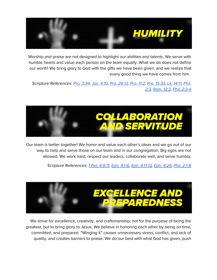

Worship and praise are not designed to highlight our abilities and talents. We serve with humble hearts and value each person on the team equally. What we do does not define our worth! We bring glory to God with the gifts we have been given, and we realize that every good thing we have comes from him.

Scripture References: Pro. [3:34,](https://www.biblegateway.com/passage/?search=pro+3%3A34&version=NIV) Jas. [4:10](https://www.biblegateway.com/passage/?search=james+4%3A10&version=NIV), Pro. [26:12,](https://www.biblegateway.com/passage/?search=pro+26%3A12&version=NIV) [Pro.](https://www.biblegateway.com/passage/?search=Proverbs+11%3A2&version=ESV) 11:2, Pro. [15:33](https://www.biblegateway.com/passage/?search=Proverbs+15%3A33&version=ESV), Lk, [14:11,](https://www.biblegateway.com/passage/?search=Luke+14%3A11&version=ESV) [Phil.](https://www.biblegateway.com/passage/?search=Philippians+2%3A3&version=NIV) [2:3](https://www.biblegateway.com/passage/?search=Philippians+2%3A3&version=NIV), [Rom.](https://www.biblegateway.com/passage/?search=Rom.+12%3A3+&version=NIV) 12:3, Phil. [2:3-4](https://www.biblegateway.com/passage/?search=Philippians+2%3A3-4&version=NIV)



Our team is better together! We honor and value each other's ideas and we go out of our way to help and serve those on our team and in our congregation. Big egos are not allowed. We work hard, respect our leaders, collaborate well, and serve humbly.

Scripture References: 1 Pet. [4:9-11](https://www.biblegateway.com/passage/?search=1%20Peter%204:9-11&version=NIV), Eph. [4:1-6](https://www.biblegateway.com/passage/?search=eph+4%3A1-6&version=NIV), Eph. [4:11-13](https://www.biblegateway.com/passage/?search=eph+4%3A11-13&version=NIV), Eph. [4:29](https://www.biblegateway.com/passage/?search=eph+4%3A29&version=NIV), Phil. [2:1-8](https://www.biblegateway.com/passage/?search=Philippians+2%3A1-8&version=NIV)



We strive for excellence, creativity, and craftsmanship; not for the purpose of being the greatest, but to bring glory to Jesus. We believe in honoring each other by being on time, committed, and prepared. "Winging it" causes unnecessary stress, conflict, and lack of quality, and creates barriers to praise. We do our best with what God has given, push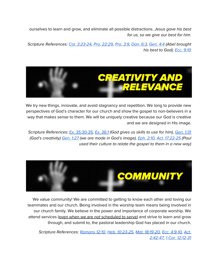ourselves to learn and grow, and eliminate all possible distractions. Jesus gave his best for us, so we give our best for him.

Scripture References: Col. [3:23-24](https://www.biblegateway.com/passage/?search=Colossians+3%3A23-24&version=NIV), Pro. [22:29,](https://www.biblegateway.com/passage/?search=Proverbs+22%3A29&version=ESV) [Pro.](https://www.biblegateway.com/passage/?search=Proverbs+3%3A9&version=NLT) 3:9, [Dan.](https://www.biblegateway.com/passage/?search=Daniel+6%3A3&version=ESV) 6:3, [Gen.](https://www.biblegateway.com/passage/?search=Genesis+4%3A4&version=NIV) 4:4 (Abel brought his best to God), [Ecc.](https://www.biblegateway.com/passage/?search=ecc+9%3A10&version=NIV) 9:10



We try new things, innovate, and avoid stagnancy and repetition. We long to provide new perspectives of God's character for our church and show the gospel to non-believers in a way that makes sense to them. We will be uniquely creative because our God is creative and we are designed in His image.

Scripture References: Ex. [35:30-35](https://www.biblegateway.com/passage/?search=ex+35&version=NIV), Ex. [36:1](https://www.biblegateway.com/passage/?search=ex+36%3A1&version=NIV) (God gives us skills to use for him), [Gen.](https://www.biblegateway.com/passage/?search=gen+1%3A31&version=NIV) 1:31 (God's creativity) [Gen.](https://www.biblegateway.com/passage/?search=Genesis%201%3A27&version=NIV) 1:27 (we are made in God's image), [Eph.](https://www.biblegateway.com/passage/?search=eph+2%3A10&version=NIV) 2:10, Act. [17:22-25](https://www.biblegateway.com/passage/?search=ac+17%3A22-25&version=NIV) (Paul used their culture to relate the gospel to them in a new way)



We value community! We are committed to getting to know each other and loving our teammates and our church. Being involved in the worship team means being involved in our church family. We believe in the power and importance of corporate worship. We attend services (even when we are not scheduled to serve) and strive to learn and grow through, and submit to, the pastoral leadership God has placed in our church.

Scripture References: [Romans](https://www.biblegateway.com/passage/?search=Romans%2012%3A10&version=NIV) 12:10, Heb. [10:23-25](https://www.biblegateway.com/passage/?search=Hebrews+10%3A23-25&version=NIV), Mat. [18:19-20,](https://www.biblegateway.com/passage/?search=Matthew+18%3A19-20&version=NIV) Ecc. [4:9-10](https://www.biblegateway.com/passage/?search=ecc+4%3A9-10&version=NIV), [Act.](https://www.biblegateway.com/passage/?search=ac+2%3A42-47&version=NIV) [2:42-47](https://www.biblegateway.com/passage/?search=ac+2%3A42-47&version=NIV), 1 Cor. [12:12-31](https://www.biblegateway.com/passage/?search=1+cor+12%3A12-31&version=NIV)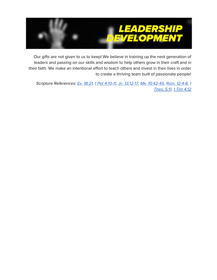

Our gifts are not given to us to keep! We believe in training up the next generation of leaders and passing on our skills and wisdom to help others grow in their craft and in their faith. We make an intentional effort to teach others and invest in their lives in order to create a thriving team built of passionate people!

Scripture References: Ex. [18:21,](https://www.biblegateway.com/passage/?search=Exodus+18%3A21&version=ESV) 1 Pet [4:10-11,](https://www.biblegateway.com/passage/?search=1+pet+4%3A10-11&version=NIV) Jn. [13:12-17](https://www.biblegateway.com/passage/?search=John+13%3A12-17&version=NIV), Mk. [10:42-45,](https://www.biblegateway.com/passage/?search=Mk.+10%3A42-45&version=NIV) Rom. [12:4-8,](https://www.biblegateway.com/passage/?search=Rom.+12%3A4-8&version=NIV) [1](https://www.biblegateway.com/passage/?search=1+thes+5%3A11&version=NIV) [Thes.](https://www.biblegateway.com/passage/?search=1+thes+5%3A11&version=NIV) 5:11, 1 Tim [4:12](https://www.biblegateway.com/passage/?search=1+tim+4%3A12&version=NIV)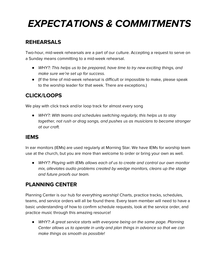# **EXPECTATIONS & COMMITMENTS**

### **REHEARSALS**

Two-hour, mid-week rehearsals are a part of our culture. Accepting a request to serve on a Sunday means committing to a mid-week rehearsal.

- *●* WHY?: This helps us to be prepared, have time to try new exciting things, and make sure we're set up for success.
- (If the time of mid-week rehearsal is difficult or impossible to make, please speak to the worship leader for that week. There are exceptions.)

## **CLICK/LOOPS**

We play with click track and/or loop track for almost every song

● WHY?: With teams and schedules switching regularly, this helps us to stay together, not rush or drag songs, and pushes us as musicians to become stronger at our craft.

#### **IEMS**

In ear monitors (IEMs) are used regularly at Morning Star. We have IEMs for worship team use at the church, but you are more than welcome to order or bring your own as well.

*●* WHY?: Playing with IEMs allows each of us to create and control our own monitor mix, alleviates audio problems created by wedge monitors, cleans up the stage and future proofs our team.

## **PLANNING CENTER**

Planning Center is our hub for everything worship! Charts, practice tracks, schedules, teams, and service orders will all be found there. Every team member will need to have a basic understanding of how to confirm schedule requests, look at the service order, and practice music through this amazing resource!

● WHY?: A great service starts with everyone being on the same page. Planning Center allows us to operate in unity and plan things in advance so that we can make things as smooth as possible!